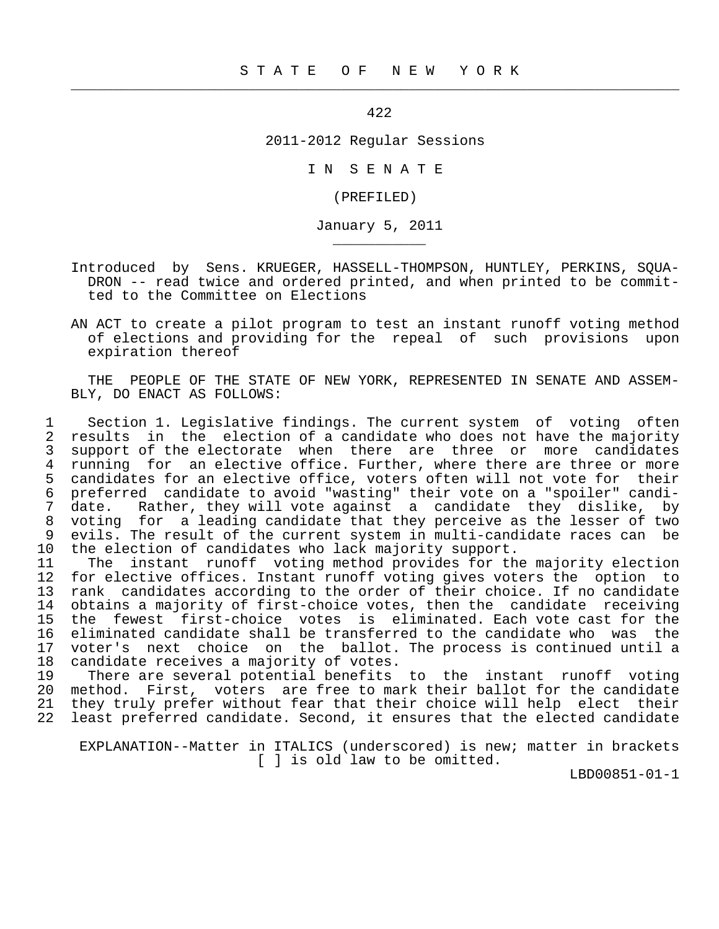$\frac{1}{2}$  , and the contribution of the contribution of the contribution of the contribution of the contribution of the contribution of the contribution of the contribution of the contribution of the contribution of the c

\_\_\_\_\_\_\_\_\_\_\_

422

2011-2012 Regular Sessions

I N S E N A T E

(PREFILED)

January 5, 2011

- Introduced by Sens. KRUEGER, HASSELL-THOMPSON, HUNTLEY, PERKINS, SQUA- DRON -- read twice and ordered printed, and when printed to be commit ted to the Committee on Elections
- AN ACT to create a pilot program to test an instant runoff voting method of elections and providing for the repeal of such provisions upon expiration thereof

 THE PEOPLE OF THE STATE OF NEW YORK, REPRESENTED IN SENATE AND ASSEM- BLY, DO ENACT AS FOLLOWS:

1 Section 1. Legislative findings. The current system of voting often<br>2 results in the election of a candidate who does not have the majority 2 results in the election of a candidate who does not have the majority<br>3 support of the electorate when there are three or more candidates 3 support of the electorate when there are three or more candidates<br>4 running for an elective office. Further, where there are three or more 4 running for an elective office. Further, where there are three or more<br>5 candidates for an elective office, voters often will not vote for their 5 candidates for an elective office, voters often will not vote for their<br>6 preferred candidate to avoid "wasting" their vote on a "spoiler" candi- 6 preferred candidate to avoid "wasting" their vote on a "spoiler" candi- 7 date. Rather, they will vote against a candidate they dislike, by 8 voting for a leading candidate that they perceive as the lesser of two<br>9 evils. The result of the current system in multi-candidate races can be 9 evils. The result of the current system in multi-candidate races can be<br>10 the election of candidates who lack majority support. 10 the election of candidates who lack majority support.<br>11 The instant runoff voting method provides for th

11 The instant runoff voting method provides for the majority election<br>12 for elective offices. Instant runoff voting gives voters the option to for elective offices. Instant runoff voting gives voters the option to 13 rank candidates according to the order of their choice. If no candidate 14 obtains a majority of first-choice votes, then the candidate receiving<br>15 the fewest first-choice votes is eliminated. Each vote cast for the 15 the fewest first-choice votes is eliminated. Each vote cast for the<br>16 eliminated candidate shall be transferred to the candidate who was the 16 eliminated candidate shall be transferred to the candidate who was the<br>17 yoter's next choice on the ballot. The process is continued until a 17 voter's next choice on the ballot. The process is continued until a<br>18 candidate receives a majority of votes. 17 voter by none that is none and a majority of votes.<br>19 There are several potential benefits

There are several potential benefits to the instant runoff voting 20 method. First, voters are free to mark their ballot for the candidate<br>21 they truly prefer without fear that their choice will help elect their 21 they truly prefer without fear that their choice will help elect their 22 least preferred candidate. Second, it ensures that the elected candidate

 EXPLANATION--Matter in ITALICS (underscored) is new; matter in brackets [ ] is old law to be omitted.

LBD00851-01-1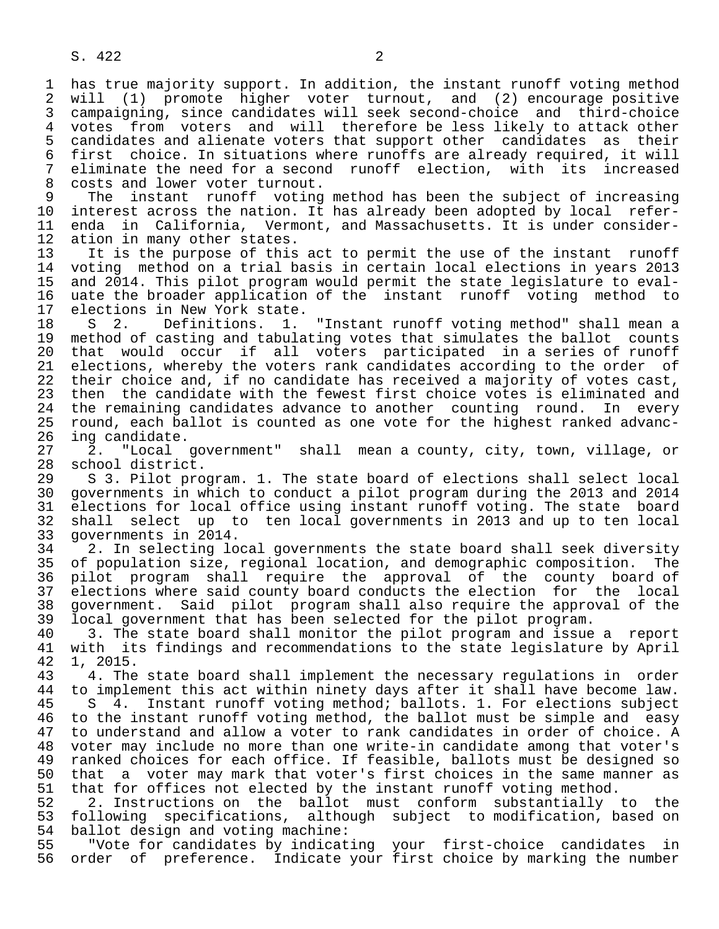1 has true majority support. In addition, the instant runoff voting method<br>2 will (1) promote higher voter turnout, and (2) encourage positive 2 will (1) promote higher voter turnout, and (2) encourage positive<br>3 campaigning, since candidates will seek second-choice and third-choice 3 campaigning, since candidates will seek second-choice and third-choice 4 votes from voters and will therefore be less likely to attack other<br>5 candidates and alienate voters that support other candidates as their 5 candidates and alienate voters that support other candidates as their<br>6 first choice. In situations where runoffs are already required, it will 6 first choice. In situations where runoffs are already required, it will 7 eliminate the need for a second runoff election, with its increased<br>8 costs and lower voter turnout.

8 costs and lower voter turnout.<br>9 The instant runoff voting 9 The instant runoff voting method has been the subject of increasing<br>10 interest across the nation. It has already been adopted by local refer-10 interest across the nation. It has already been adopted by local refer-<br>11 enda in California, Vermont, and Massachusetts. It is under consider-11 enda in California, Vermont, and Massachusetts. It is under consider-<br>12 ation in many other states. 12 ation in many other states.<br>13 It is the purpose of this

13 It is the purpose of this act to permit the use of the instant runoff<br>14 voting method on a trial basis in certain local elections in vears 2013 14 voting method on a trial basis in certain local elections in years 2013<br>15 and 2014. This pilot program would permit the state legislature to eval- 15 and 2014. This pilot program would permit the state legislature to eval- 16 uate the broader application of the instant runoff voting method to<br>17 elections in New York state. 17 elections in New York state.<br>18 S 2. Definitions. 1.

18 S 2. Definitions. 1. "Instant runoff voting method" shall mean a<br>19 method of casting and tabulating votes that simulates the ballot counts 19 method of casting and tabulating votes that simulates the ballot counts<br>20 that would occur if all voters participated in a series of runoff 20 that would occur if all voters participated in a series of runoff<br>21 elections, whereby the voters rank candidates according to the order of 21 elections, whereby the voters rank candidates according to the order of<br>22 their choice and, if no candidate has received a majority of votes cast, 22 their choice and, if no candidate has received a majority of votes cast,<br>23 then the candidate with the fewest first choice votes is eliminated and then the candidate with the fewest first choice votes is eliminated and 24 the remaining candidates advance to another counting round. In every<br>25 round, each ballot is counted as one vote for the highest ranked advancround, each ballot is counted as one vote for the highest ranked advanc-

26 ing candidate.<br>27 2. "Local 27 2. "Local government" shall mean a county, city, town, village, or 28 school district.<br>29 S 3. Pilot pro

29 S 3. Pilot program. 1. The state board of elections shall select local<br>20 governments in which to conduct a pilot program during the 2013 and 2014 30 governments in which to conduct a pilot program during the 2013 and 2014 31 elections for local office using instant runoff voting. The state board<br>32 shall select up to ten local governments in 2013 and up to ten local 32 shall select up to ten local governments in 2013 and up to ten local 33 governments in 2014.

34 2. In selecting local governments the state board shall seek diversity<br>35 of population size, regional location, and demographic composition. The 35 of population size, regional location, and demographic composition. The<br>36 pilot program shall require the approval of the county board of 36 pilot program shall require the approval of the county board of 37 elections where said county board conducts the election for the local<br>38 government. Said pilot program shall also require the approval of the 38 government. Said pilot program shall also require the approval of the<br>39 local government that has been selected for the pilot program. 39 local government that has been selected for the pilot program.<br>40 3. The state board shall monitor the pilot program and issue

40 3. The state board shall monitor the pilot program and issue a report<br>41 with its findings and recommendations to the state legislature by April 41 with its findings and recommendations to the state legislature by April 42 1. 2015. 42 1, 2015.

43 4. The state board shall implement the necessary regulations in order<br>44 to implement this act within ninety days after it shall have become law.

44 to implement this act within ninety days after it shall have become law.<br>45 S 4. Instant runoff voting method; ballots. 1. For elections subject S 4. Instant runoff voting method; ballots. 1. For elections subject 46 to the instant runoff voting method, the ballot must be simple and easy<br>47 to understand and allow a voter to rank candidates in order of choice. A 47 to understand and allow a voter to rank candidates in order of choice. A 48 voter may include no more than one write-in candidate among that voter's 49 ranked choices for each office. If feasible, ballots must be designed so<br>50 that a voter may mark that voter's first choices in the same manner as 50 that a voter may mark that voter's first choices in the same manner as<br>51 that for offices not elected by the instant runoff voting method. 51 that for offices not elected by the instant runoff voting method.<br>52 2. Instructions on the ballot must conform substantially

52 2. Instructions on the ballot must conform substantially to the<br>53 following specifications, although subject to modification, based on 53 following specifications, although subject to modification, based on<br>54 ballot design and voting machine: 54 ballot design and voting machine:<br>55 TWote for candidates by indicat

55 The for candidates by indicating your first-choice candidates in<br>56 order of preference. Indicate your first choice by marking the number order of preference. Indicate your first choice by marking the number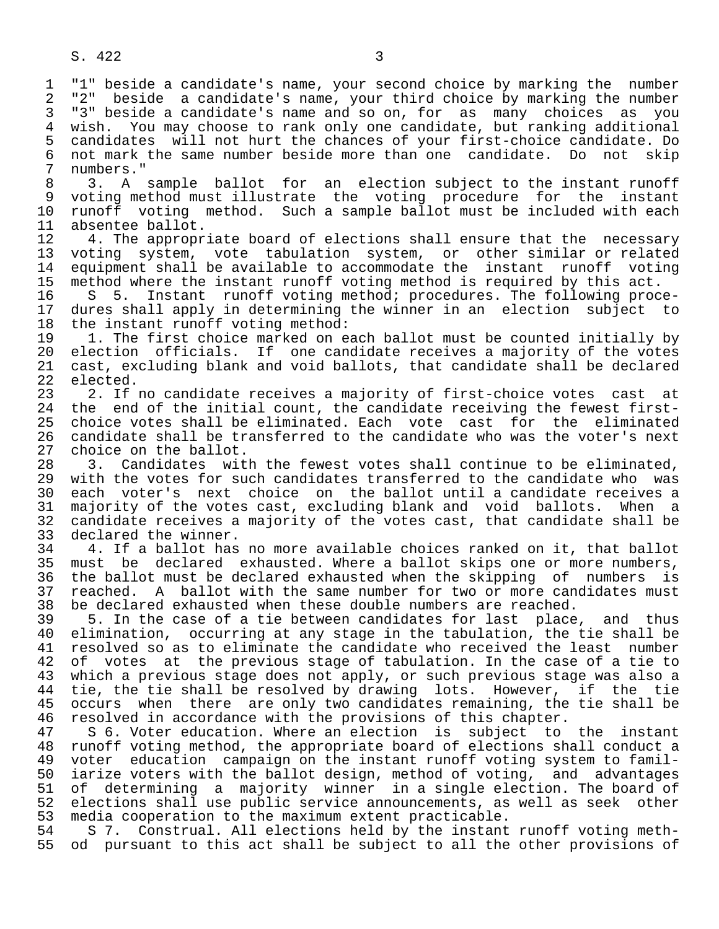7 numbers."<br>8 3 A 8 3. A sample ballot for an election subject to the instant runoff<br>9 voting method must illustrate the voting procedure for the instant 9 voting method must illustrate the voting procedure for the instant<br>10 runoff voting method. Such a sample ballot must be included with each 10 runoff voting method. Such a sample ballot must be included with each<br>11 absentee ballot.

11 absentee ballot.<br>12 4. The appropr. 12 4. The appropriate board of elections shall ensure that the necessary<br>13 voting system, vote tabulation system, or other similar or related 13 voting system, vote tabulation system, or other similar or related 14 equipment shall be available to accommodate the instant runoff voting<br>15 method where the instant runoff voting method is required by this act. 15 method where the instant runoff voting method is required by this act.<br>16 S 5. Instant runoff voting method; procedures. The following proc

16 S 5. Instant runoff voting method; procedures. The following proce-<br>17 dures shall apply in determining the winner in an election subject to 17 dures shall apply in determining the winner in an election subject to<br>18 the instant runoff voting method: 18 the instant runoff voting method:<br>19 1. The first choice marked on ea

19 1. The first choice marked on each ballot must be counted initially by<br>20 election officials. If one candidate receives a majority of the votes 20 election officials. If one candidate receives a majority of the votes<br>21 cast, excluding blank and void ballots, that candidate shall be declared 21 cast, excluding blank and void ballots, that candidate shall be declared 22 elected.<br>23 2. If

23 2. If no candidate receives a majority of first-choice votes cast at<br>24 the end of the initial count, the candidate receiving the fewest first-24 the end of the initial count, the candidate receiving the fewest first-<br>25 choice votes shall be eliminated. Each vote cast for the eliminated 25 choice votes shall be eliminated. Each vote cast for the eliminated 26 candidate shall be transferred to the candidate who was the voter's next<br>27 choice on the ballot. 27 choice on the ballot.<br>28 3. Candidates wit

28 3. Candidates with the fewest votes shall continue to be eliminated,<br>29 with the votes for such candidates transferred to the candidate who was 29 with the votes for such candidates transferred to the candidate who was<br>20 each voter's next choice on the ballot until a candidate receives a 30 each voter's next choice on the ballot until a candidate receives a<br>31 majority of the votes cast, excluding blank and void ballots. When a 31 majority of the votes cast, excluding blank and void ballots. When a<br>32 candidate receives a majority of the votes cast, that candidate shall be 32 candidate receives a majority of the votes cast, that candidate shall be 33 declared the winner. 33 declared the winner.<br>34 4. If a ballot has

34 1. If a ballot has no more available choices ranked on it, that ballot<br>35 must be declared exhausted. Where a ballot skips one or more numbers. 35 must be declared exhausted. Where a ballot skips one or more numbers,<br>36 the ballot must be declared exhausted when the skipping of numbers is the ballot must be declared exhausted when the skipping of numbers is 37 reached. A ballot with the same number for two or more candidates must<br>38 be declared exhausted when these double numbers are reached. 38 be declared exhausted when these double numbers are reached.<br>39 5. In the case of a tie between candidates for last place

 39 5. In the case of a tie between candidates for last place, and thus 40 elimination, occurring at any stage in the tabulation, the tie shall be<br>41 resolved so as to eliminate the candidate who received the least number 41 resolved so as to eliminate the candidate who received the least number<br>42 of votes at the previous stage of tabulation. In the case of a tie to 42 of votes at the previous stage of tabulation. In the case of a tie to<br>43 which a previous stage does not apply, or such previous stage was also a 43 which a previous stage does not apply, or such previous stage was also a<br>44 tie, the tie shall be resolved by drawing lots. However, if the tie 44 tie, the tie shall be resolved by drawing lots. However, if the tie<br>45 occurs when there are only two candidates remaining, the tie shall be occurs when there are only two candidates remaining, the tie shall be 46 resolved in accordance with the provisions of this chapter.<br>47 S 6. Voter education. Where an election is subject to

5 6. Voter education. Where an election is subject to the instant 48 runoff voting method, the appropriate board of elections shall conduct a<br>49 voter education campaign on the instant runoff voting system to famil-49 voter education campaign on the instant runoff voting system to famil-<br>50 iarize voters with the ballot design, method of voting, and advantages 50 iarize voters with the ballot design, method of voting, and advantages<br>51 of determining a majority winner in a single election. The board of 51 of determining a majority winner in a single election. The board of<br>52 elections shall use public service announcements, as well as seek other 52 elections shall use public service announcements, as well as seek other<br>53 media cooperation to the maximum extent practicable. 53 media cooperation to the maximum extent practicable.

54 S 7. Construal. All elections held by the instant runoff voting meth-<br>55 od pursuant to this act shall be subject to all the other provisions of od pursuant to this act shall be subject to all the other provisions of